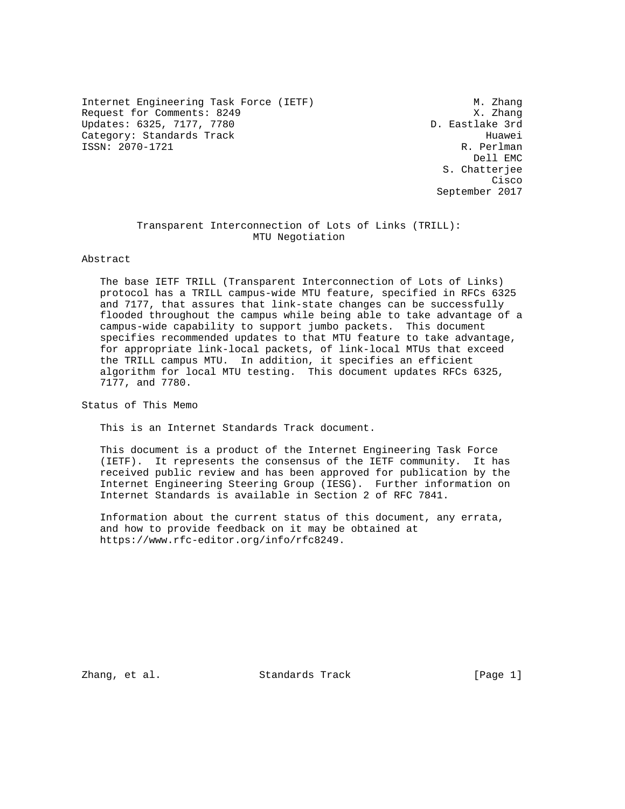Internet Engineering Task Force (IETF) M. Zhang Request for Comments: 8249 X. Zhang Updates: 6325, 7177, 7780 Category: Standards Track Huawei ISSN: 2070-1721 R. Perlman

 Dell EMC S. Chatterjee **Cisco de la contrata de la contrata de la contrata de la contrata de la contrata de la contrata de la contrat** September 2017

#### Transparent Interconnection of Lots of Links (TRILL): MTU Negotiation

#### Abstract

 The base IETF TRILL (Transparent Interconnection of Lots of Links) protocol has a TRILL campus-wide MTU feature, specified in RFCs 6325 and 7177, that assures that link-state changes can be successfully flooded throughout the campus while being able to take advantage of a campus-wide capability to support jumbo packets. This document specifies recommended updates to that MTU feature to take advantage, for appropriate link-local packets, of link-local MTUs that exceed the TRILL campus MTU. In addition, it specifies an efficient algorithm for local MTU testing. This document updates RFCs 6325, 7177, and 7780.

Status of This Memo

This is an Internet Standards Track document.

 This document is a product of the Internet Engineering Task Force (IETF). It represents the consensus of the IETF community. It has received public review and has been approved for publication by the Internet Engineering Steering Group (IESG). Further information on Internet Standards is available in Section 2 of RFC 7841.

 Information about the current status of this document, any errata, and how to provide feedback on it may be obtained at https://www.rfc-editor.org/info/rfc8249.

Zhang, et al. Standards Track [Page 1]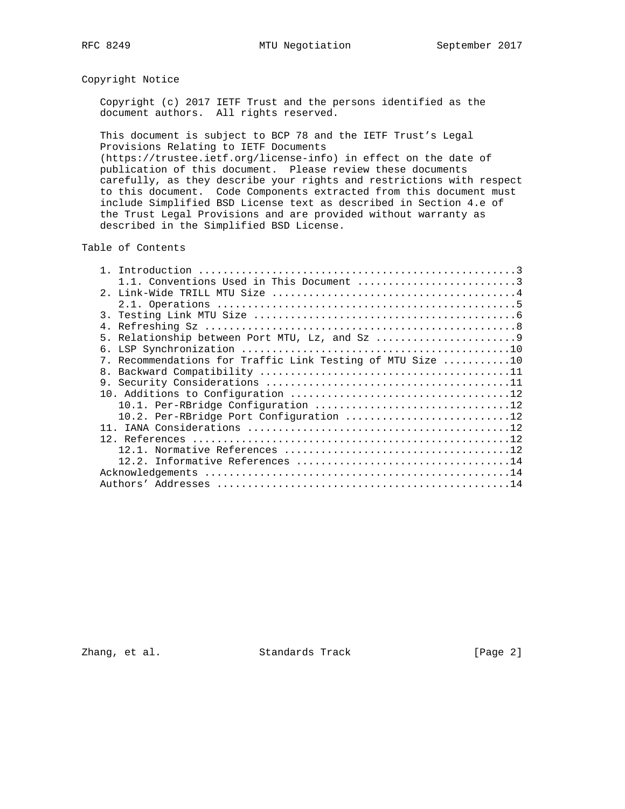## Copyright Notice

 Copyright (c) 2017 IETF Trust and the persons identified as the document authors. All rights reserved.

 This document is subject to BCP 78 and the IETF Trust's Legal Provisions Relating to IETF Documents (https://trustee.ietf.org/license-info) in effect on the date of

 publication of this document. Please review these documents carefully, as they describe your rights and restrictions with respect to this document. Code Components extracted from this document must include Simplified BSD License text as described in Section 4.e of the Trust Legal Provisions and are provided without warranty as described in the Simplified BSD License.

Table of Contents

| 1.1. Conventions Used in This Document 3                   |
|------------------------------------------------------------|
|                                                            |
|                                                            |
|                                                            |
|                                                            |
| 5. Relationship between Port MTU, Lz, and Sz 9             |
|                                                            |
| 7. Recommendations for Traffic Link Testing of MTU Size 10 |
|                                                            |
|                                                            |
|                                                            |
|                                                            |
| 10.2. Per-RBridge Port Configuration 12                    |
|                                                            |
|                                                            |
|                                                            |
|                                                            |
|                                                            |
|                                                            |

Zhang, et al. Standards Track [Page 2]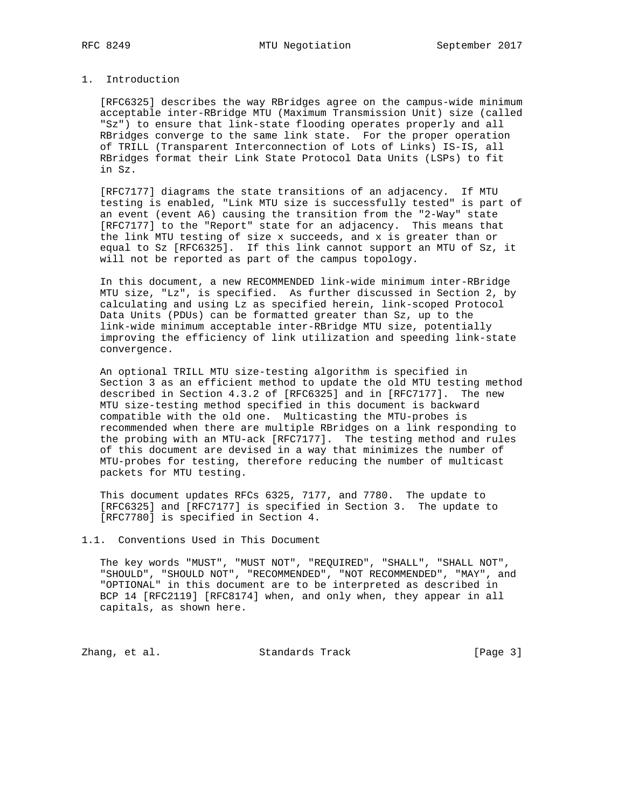## 1. Introduction

 [RFC6325] describes the way RBridges agree on the campus-wide minimum acceptable inter-RBridge MTU (Maximum Transmission Unit) size (called "Sz") to ensure that link-state flooding operates properly and all RBridges converge to the same link state. For the proper operation of TRILL (Transparent Interconnection of Lots of Links) IS-IS, all RBridges format their Link State Protocol Data Units (LSPs) to fit in Sz.

 [RFC7177] diagrams the state transitions of an adjacency. If MTU testing is enabled, "Link MTU size is successfully tested" is part of an event (event A6) causing the transition from the "2-Way" state [RFC7177] to the "Report" state for an adjacency. This means that the link MTU testing of size x succeeds, and x is greater than or equal to Sz [RFC6325]. If this link cannot support an MTU of Sz, it will not be reported as part of the campus topology.

 In this document, a new RECOMMENDED link-wide minimum inter-RBridge MTU size, "Lz", is specified. As further discussed in Section 2, by calculating and using Lz as specified herein, link-scoped Protocol Data Units (PDUs) can be formatted greater than Sz, up to the link-wide minimum acceptable inter-RBridge MTU size, potentially improving the efficiency of link utilization and speeding link-state convergence.

 An optional TRILL MTU size-testing algorithm is specified in Section 3 as an efficient method to update the old MTU testing method described in Section 4.3.2 of [RFC6325] and in [RFC7177]. The new MTU size-testing method specified in this document is backward compatible with the old one. Multicasting the MTU-probes is recommended when there are multiple RBridges on a link responding to the probing with an MTU-ack [RFC7177]. The testing method and rules of this document are devised in a way that minimizes the number of MTU-probes for testing, therefore reducing the number of multicast packets for MTU testing.

 This document updates RFCs 6325, 7177, and 7780. The update to [RFC6325] and [RFC7177] is specified in Section 3. The update to [RFC7780] is specified in Section 4.

1.1. Conventions Used in This Document

 The key words "MUST", "MUST NOT", "REQUIRED", "SHALL", "SHALL NOT", "SHOULD", "SHOULD NOT", "RECOMMENDED", "NOT RECOMMENDED", "MAY", and "OPTIONAL" in this document are to be interpreted as described in BCP 14 [RFC2119] [RFC8174] when, and only when, they appear in all capitals, as shown here.

Zhang, et al. Standards Track [Page 3]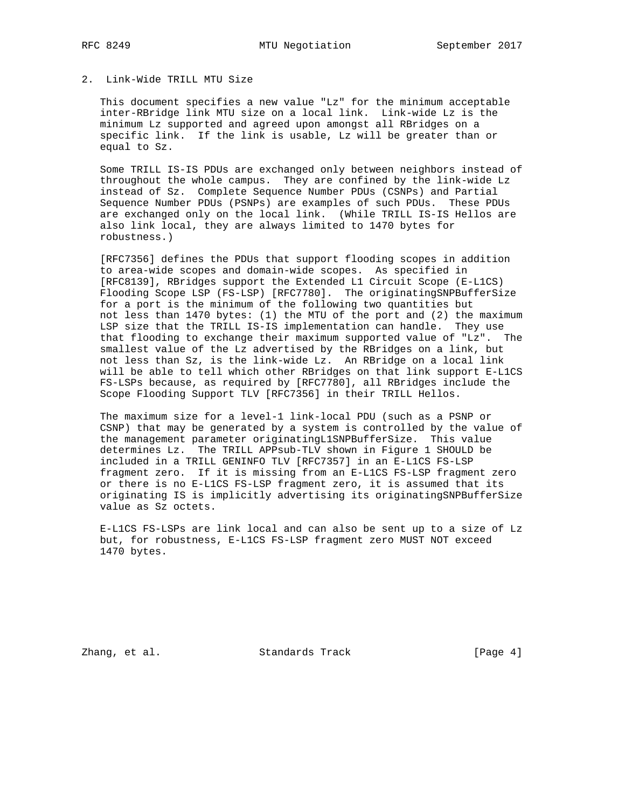## 2. Link-Wide TRILL MTU Size

 This document specifies a new value "Lz" for the minimum acceptable inter-RBridge link MTU size on a local link. Link-wide Lz is the minimum Lz supported and agreed upon amongst all RBridges on a specific link. If the link is usable, Lz will be greater than or equal to Sz.

 Some TRILL IS-IS PDUs are exchanged only between neighbors instead of throughout the whole campus. They are confined by the link-wide Lz instead of Sz. Complete Sequence Number PDUs (CSNPs) and Partial Sequence Number PDUs (PSNPs) are examples of such PDUs. These PDUs are exchanged only on the local link. (While TRILL IS-IS Hellos are also link local, they are always limited to 1470 bytes for robustness.)

 [RFC7356] defines the PDUs that support flooding scopes in addition to area-wide scopes and domain-wide scopes. As specified in [RFC8139], RBridges support the Extended L1 Circuit Scope (E-L1CS) Flooding Scope LSP (FS-LSP) [RFC7780]. The originatingSNPBufferSize for a port is the minimum of the following two quantities but not less than 1470 bytes: (1) the MTU of the port and (2) the maximum LSP size that the TRILL IS-IS implementation can handle. They use that flooding to exchange their maximum supported value of "Lz". The smallest value of the Lz advertised by the RBridges on a link, but not less than Sz, is the link-wide Lz. An RBridge on a local link will be able to tell which other RBridges on that link support E-L1CS FS-LSPs because, as required by [RFC7780], all RBridges include the Scope Flooding Support TLV [RFC7356] in their TRILL Hellos.

 The maximum size for a level-1 link-local PDU (such as a PSNP or CSNP) that may be generated by a system is controlled by the value of the management parameter originatingL1SNPBufferSize. This value determines Lz. The TRILL APPsub-TLV shown in Figure 1 SHOULD be included in a TRILL GENINFO TLV [RFC7357] in an E-L1CS FS-LSP fragment zero. If it is missing from an E-L1CS FS-LSP fragment zero or there is no E-L1CS FS-LSP fragment zero, it is assumed that its originating IS is implicitly advertising its originatingSNPBufferSize value as Sz octets.

 E-L1CS FS-LSPs are link local and can also be sent up to a size of Lz but, for robustness, E-L1CS FS-LSP fragment zero MUST NOT exceed 1470 bytes.

Zhang, et al. Standards Track [Page 4]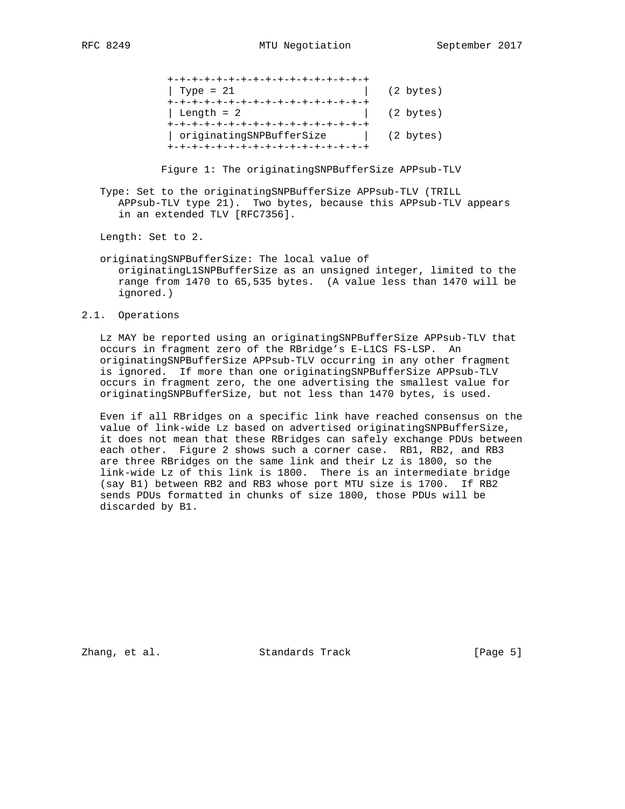| +-+-+-+-+-+-+-+-+-+-+-+-+-+-+-+-+-+ |           |
|-------------------------------------|-----------|
| Type = $21$                         | (2 bytes) |
| +-+-+-+-+-+-+-+-+-+-+-+-+-+-+-+-+-+ |           |
| Length = $2$                        | (2 bytes) |
| +-+-+-+-+-+-+-+-+-+-+-+-+-+-+-+-+-+ |           |
| originatingSNPBufferSize            | (2 bytes) |
| +-+-+-+-+-+-+-+-+-+-+-+-+-+-+-+-+-+ |           |

Figure 1: The originatingSNPBufferSize APPsub-TLV

 Type: Set to the originatingSNPBufferSize APPsub-TLV (TRILL APPsub-TLV type 21). Two bytes, because this APPsub-TLV appears in an extended TLV [RFC7356].

Length: Set to 2.

 originatingSNPBufferSize: The local value of originatingL1SNPBufferSize as an unsigned integer, limited to the range from 1470 to 65,535 bytes. (A value less than 1470 will be ignored.)

2.1. Operations

 Lz MAY be reported using an originatingSNPBufferSize APPsub-TLV that occurs in fragment zero of the RBridge's E-L1CS FS-LSP. An originatingSNPBufferSize APPsub-TLV occurring in any other fragment is ignored. If more than one originatingSNPBufferSize APPsub-TLV occurs in fragment zero, the one advertising the smallest value for originatingSNPBufferSize, but not less than 1470 bytes, is used.

 Even if all RBridges on a specific link have reached consensus on the value of link-wide Lz based on advertised originatingSNPBufferSize, it does not mean that these RBridges can safely exchange PDUs between each other. Figure 2 shows such a corner case. RB1, RB2, and RB3 are three RBridges on the same link and their Lz is 1800, so the link-wide Lz of this link is 1800. There is an intermediate bridge (say B1) between RB2 and RB3 whose port MTU size is 1700. If RB2 sends PDUs formatted in chunks of size 1800, those PDUs will be discarded by B1.

Zhang, et al. Standards Track [Page 5]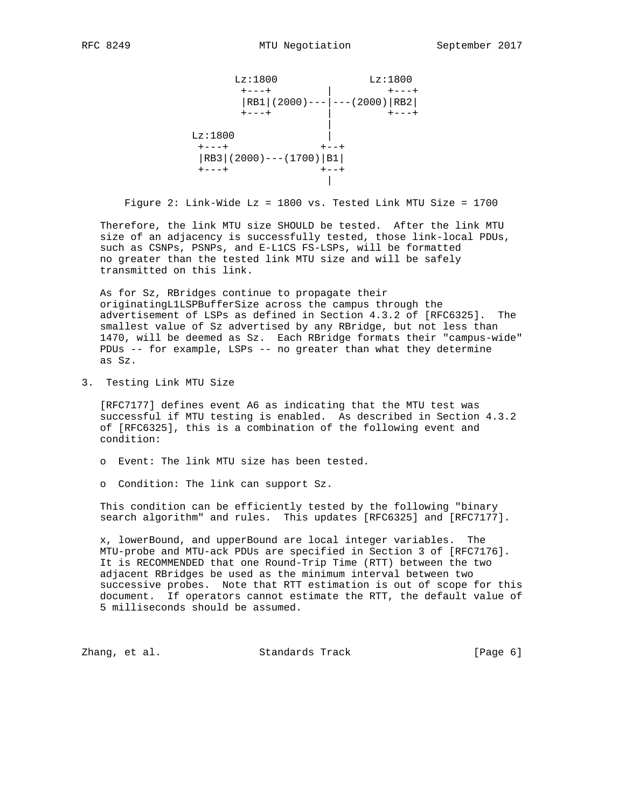```
Lz:1800 Lz:1800
 +---+ | +---+
 |RB1|(2000)---|---(2000)|RB2|
         +---+ | +---+
 |
Lz:1800 |
+--++ +--+ |RB3|(2000)---(1700)|B1|
       +---+ +--+
 |
```
Figure 2: Link-Wide Lz = 1800 vs. Tested Link MTU Size = 1700

 Therefore, the link MTU size SHOULD be tested. After the link MTU size of an adjacency is successfully tested, those link-local PDUs, such as CSNPs, PSNPs, and E-L1CS FS-LSPs, will be formatted no greater than the tested link MTU size and will be safely transmitted on this link.

 As for Sz, RBridges continue to propagate their originatingL1LSPBufferSize across the campus through the advertisement of LSPs as defined in Section 4.3.2 of [RFC6325]. The smallest value of Sz advertised by any RBridge, but not less than 1470, will be deemed as Sz. Each RBridge formats their "campus-wide" PDUs -- for example, LSPs -- no greater than what they determine as Sz.

3. Testing Link MTU Size

 [RFC7177] defines event A6 as indicating that the MTU test was successful if MTU testing is enabled. As described in Section 4.3.2 of [RFC6325], this is a combination of the following event and condition:

- o Event: The link MTU size has been tested.
- o Condition: The link can support Sz.

 This condition can be efficiently tested by the following "binary search algorithm" and rules. This updates [RFC6325] and [RFC7177].

 x, lowerBound, and upperBound are local integer variables. The MTU-probe and MTU-ack PDUs are specified in Section 3 of [RFC7176]. It is RECOMMENDED that one Round-Trip Time (RTT) between the two adjacent RBridges be used as the minimum interval between two successive probes. Note that RTT estimation is out of scope for this document. If operators cannot estimate the RTT, the default value of 5 milliseconds should be assumed.

Zhang, et al. Standards Track (Page 6)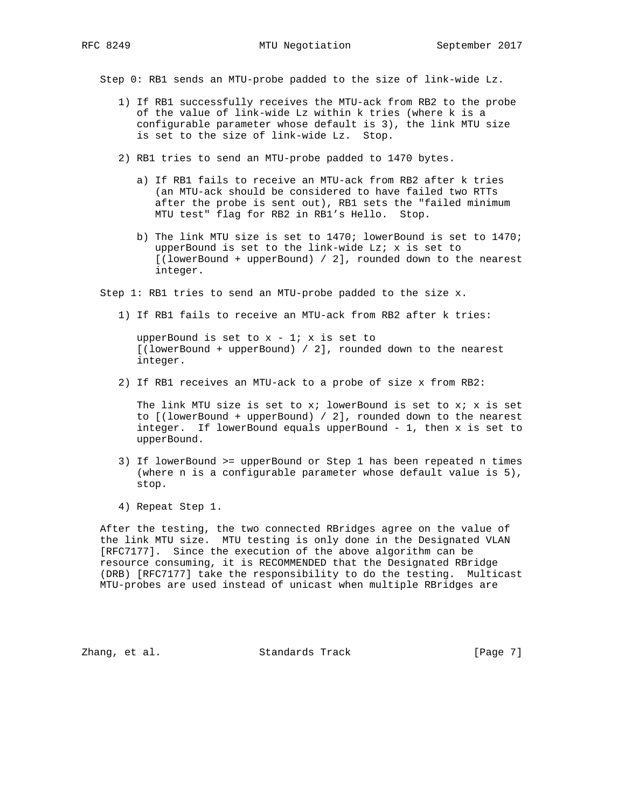Step 0: RB1 sends an MTU-probe padded to the size of link-wide Lz.

- 1) If RB1 successfully receives the MTU-ack from RB2 to the probe of the value of link-wide Lz within k tries (where k is a configurable parameter whose default is 3), the link MTU size is set to the size of link-wide Lz. Stop.
- 2) RB1 tries to send an MTU-probe padded to 1470 bytes.
	- a) If RB1 fails to receive an MTU-ack from RB2 after k tries (an MTU-ack should be considered to have failed two RTTs after the probe is sent out), RB1 sets the "failed minimum MTU test" flag for RB2 in RB1's Hello. Stop.
	- b) The link MTU size is set to 1470; lowerBound is set to 1470; upperBound is set to the link-wide Lz; x is set to [(lowerBound + upperBound) / 2], rounded down to the nearest integer.

Step 1: RB1 tries to send an MTU-probe padded to the size x.

1) If RB1 fails to receive an MTU-ack from RB2 after k tries:

upperBound is set to  $x - 1$ ; x is set to [(lowerBound + upperBound) / 2], rounded down to the nearest integer.

2) If RB1 receives an MTU-ack to a probe of size x from RB2:

The link MTU size is set to  $x$ ; lowerBound is set to  $x$ ;  $x$  is set to [(lowerBound + upperBound) / 2], rounded down to the nearest integer. If lowerBound equals upperBound - 1, then x is set to upperBound.

- 3) If lowerBound >= upperBound or Step 1 has been repeated n times (where n is a configurable parameter whose default value is 5), stop.
- 4) Repeat Step 1.

 After the testing, the two connected RBridges agree on the value of the link MTU size. MTU testing is only done in the Designated VLAN [RFC7177]. Since the execution of the above algorithm can be resource consuming, it is RECOMMENDED that the Designated RBridge (DRB) [RFC7177] take the responsibility to do the testing. Multicast MTU-probes are used instead of unicast when multiple RBridges are

Zhang, et al. Standards Track [Page 7]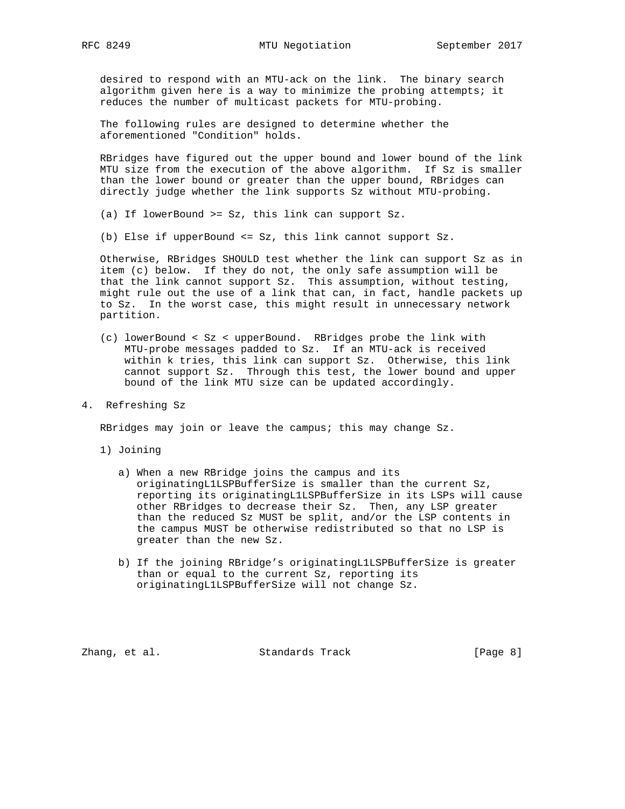desired to respond with an MTU-ack on the link. The binary search algorithm given here is a way to minimize the probing attempts; it reduces the number of multicast packets for MTU-probing.

 The following rules are designed to determine whether the aforementioned "Condition" holds.

 RBridges have figured out the upper bound and lower bound of the link MTU size from the execution of the above algorithm. If Sz is smaller than the lower bound or greater than the upper bound, RBridges can directly judge whether the link supports Sz without MTU-probing.

(a) If lowerBound >= Sz, this link can support Sz.

(b) Else if upperBound <= Sz, this link cannot support Sz.

 Otherwise, RBridges SHOULD test whether the link can support Sz as in item (c) below. If they do not, the only safe assumption will be that the link cannot support Sz. This assumption, without testing, might rule out the use of a link that can, in fact, handle packets up to Sz. In the worst case, this might result in unnecessary network partition.

 (c) lowerBound < Sz < upperBound. RBridges probe the link with MTU-probe messages padded to Sz. If an MTU-ack is received within k tries, this link can support Sz. Otherwise, this link cannot support Sz. Through this test, the lower bound and upper bound of the link MTU size can be updated accordingly.

4. Refreshing Sz

RBridges may join or leave the campus; this may change Sz.

- 1) Joining
	- a) When a new RBridge joins the campus and its originatingL1LSPBufferSize is smaller than the current Sz, reporting its originatingL1LSPBufferSize in its LSPs will cause other RBridges to decrease their Sz. Then, any LSP greater than the reduced Sz MUST be split, and/or the LSP contents in the campus MUST be otherwise redistributed so that no LSP is greater than the new Sz.
	- b) If the joining RBridge's originatingL1LSPBufferSize is greater than or equal to the current Sz, reporting its originatingL1LSPBufferSize will not change Sz.

Zhang, et al. Standards Track [Page 8]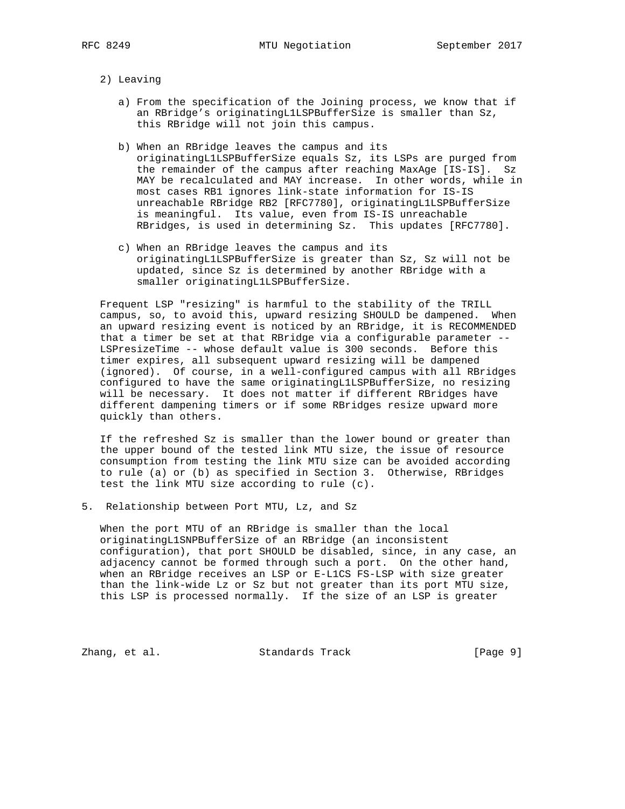- 2) Leaving
	- a) From the specification of the Joining process, we know that if an RBridge's originatingL1LSPBufferSize is smaller than Sz, this RBridge will not join this campus.
	- b) When an RBridge leaves the campus and its originatingL1LSPBufferSize equals Sz, its LSPs are purged from the remainder of the campus after reaching MaxAge [IS-IS]. Sz MAY be recalculated and MAY increase. In other words, while in most cases RB1 ignores link-state information for IS-IS unreachable RBridge RB2 [RFC7780], originatingL1LSPBufferSize is meaningful. Its value, even from IS-IS unreachable RBridges, is used in determining Sz. This updates [RFC7780].
	- c) When an RBridge leaves the campus and its originatingL1LSPBufferSize is greater than Sz, Sz will not be updated, since Sz is determined by another RBridge with a smaller originatingL1LSPBufferSize.

 Frequent LSP "resizing" is harmful to the stability of the TRILL campus, so, to avoid this, upward resizing SHOULD be dampened. When an upward resizing event is noticed by an RBridge, it is RECOMMENDED that a timer be set at that RBridge via a configurable parameter -- LSPresizeTime -- whose default value is 300 seconds. Before this timer expires, all subsequent upward resizing will be dampened (ignored). Of course, in a well-configured campus with all RBridges configured to have the same originatingL1LSPBufferSize, no resizing will be necessary. It does not matter if different RBridges have different dampening timers or if some RBridges resize upward more quickly than others.

 If the refreshed Sz is smaller than the lower bound or greater than the upper bound of the tested link MTU size, the issue of resource consumption from testing the link MTU size can be avoided according to rule (a) or (b) as specified in Section 3. Otherwise, RBridges test the link MTU size according to rule (c).

5. Relationship between Port MTU, Lz, and Sz

 When the port MTU of an RBridge is smaller than the local originatingL1SNPBufferSize of an RBridge (an inconsistent configuration), that port SHOULD be disabled, since, in any case, an adjacency cannot be formed through such a port. On the other hand, when an RBridge receives an LSP or E-L1CS FS-LSP with size greater than the link-wide Lz or Sz but not greater than its port MTU size, this LSP is processed normally. If the size of an LSP is greater

Zhang, et al. Standards Track [Page 9]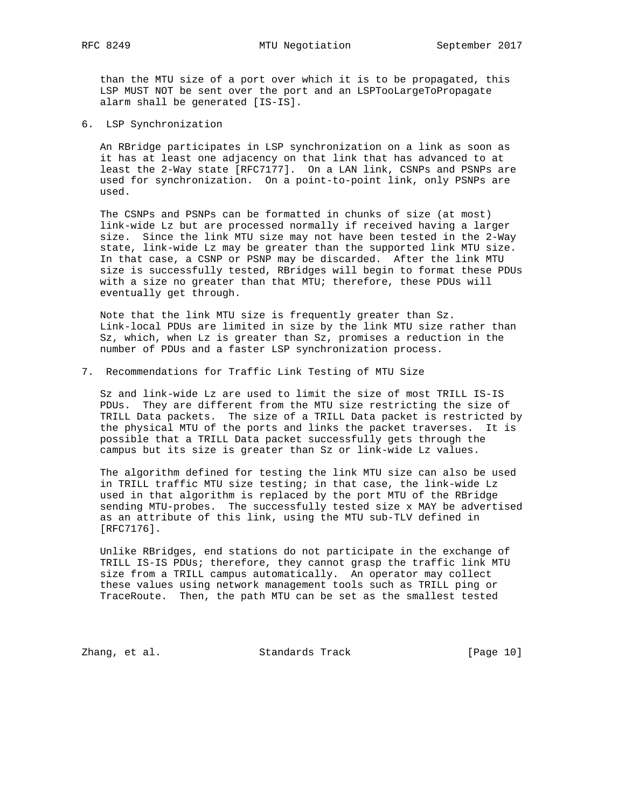than the MTU size of a port over which it is to be propagated, this LSP MUST NOT be sent over the port and an LSPTooLargeToPropagate alarm shall be generated [IS-IS].

6. LSP Synchronization

 An RBridge participates in LSP synchronization on a link as soon as it has at least one adjacency on that link that has advanced to at least the 2-Way state [RFC7177]. On a LAN link, CSNPs and PSNPs are used for synchronization. On a point-to-point link, only PSNPs are used.

 The CSNPs and PSNPs can be formatted in chunks of size (at most) link-wide Lz but are processed normally if received having a larger size. Since the link MTU size may not have been tested in the 2-Way state, link-wide Lz may be greater than the supported link MTU size. In that case, a CSNP or PSNP may be discarded. After the link MTU size is successfully tested, RBridges will begin to format these PDUs with a size no greater than that MTU; therefore, these PDUs will eventually get through.

 Note that the link MTU size is frequently greater than Sz. Link-local PDUs are limited in size by the link MTU size rather than Sz, which, when Lz is greater than Sz, promises a reduction in the number of PDUs and a faster LSP synchronization process.

7. Recommendations for Traffic Link Testing of MTU Size

 Sz and link-wide Lz are used to limit the size of most TRILL IS-IS PDUs. They are different from the MTU size restricting the size of TRILL Data packets. The size of a TRILL Data packet is restricted by the physical MTU of the ports and links the packet traverses. It is possible that a TRILL Data packet successfully gets through the campus but its size is greater than Sz or link-wide Lz values.

 The algorithm defined for testing the link MTU size can also be used in TRILL traffic MTU size testing; in that case, the link-wide Lz used in that algorithm is replaced by the port MTU of the RBridge sending MTU-probes. The successfully tested size x MAY be advertised as an attribute of this link, using the MTU sub-TLV defined in [RFC7176].

 Unlike RBridges, end stations do not participate in the exchange of TRILL IS-IS PDUs; therefore, they cannot grasp the traffic link MTU size from a TRILL campus automatically. An operator may collect these values using network management tools such as TRILL ping or TraceRoute. Then, the path MTU can be set as the smallest tested

Zhang, et al. Standards Track [Page 10]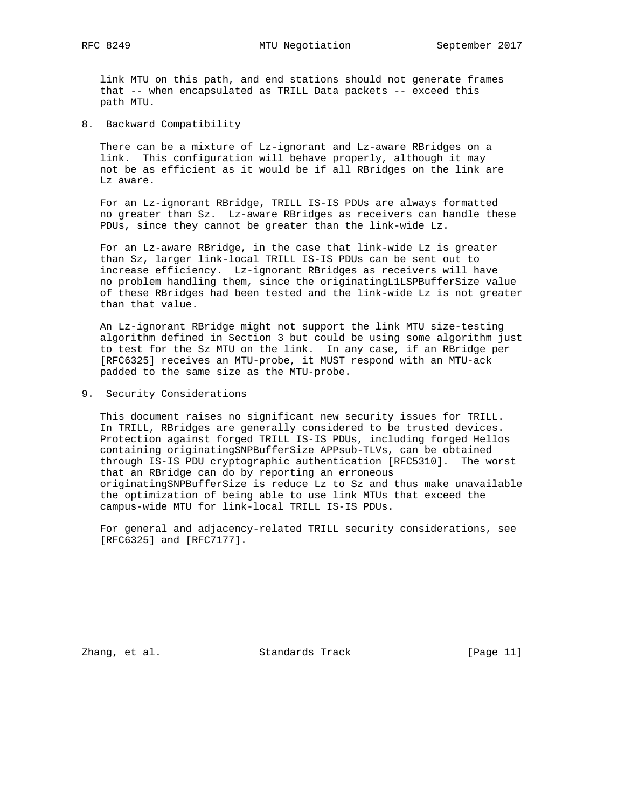link MTU on this path, and end stations should not generate frames that -- when encapsulated as TRILL Data packets -- exceed this path MTU.

8. Backward Compatibility

 There can be a mixture of Lz-ignorant and Lz-aware RBridges on a link. This configuration will behave properly, although it may not be as efficient as it would be if all RBridges on the link are Lz aware.

 For an Lz-ignorant RBridge, TRILL IS-IS PDUs are always formatted no greater than Sz. Lz-aware RBridges as receivers can handle these PDUs, since they cannot be greater than the link-wide Lz.

 For an Lz-aware RBridge, in the case that link-wide Lz is greater than Sz, larger link-local TRILL IS-IS PDUs can be sent out to increase efficiency. Lz-ignorant RBridges as receivers will have no problem handling them, since the originatingL1LSPBufferSize value of these RBridges had been tested and the link-wide Lz is not greater than that value.

 An Lz-ignorant RBridge might not support the link MTU size-testing algorithm defined in Section 3 but could be using some algorithm just to test for the Sz MTU on the link. In any case, if an RBridge per [RFC6325] receives an MTU-probe, it MUST respond with an MTU-ack padded to the same size as the MTU-probe.

9. Security Considerations

 This document raises no significant new security issues for TRILL. In TRILL, RBridges are generally considered to be trusted devices. Protection against forged TRILL IS-IS PDUs, including forged Hellos containing originatingSNPBufferSize APPsub-TLVs, can be obtained through IS-IS PDU cryptographic authentication [RFC5310]. The worst that an RBridge can do by reporting an erroneous originatingSNPBufferSize is reduce Lz to Sz and thus make unavailable the optimization of being able to use link MTUs that exceed the campus-wide MTU for link-local TRILL IS-IS PDUs.

 For general and adjacency-related TRILL security considerations, see [RFC6325] and [RFC7177].

Zhang, et al. Standards Track [Page 11]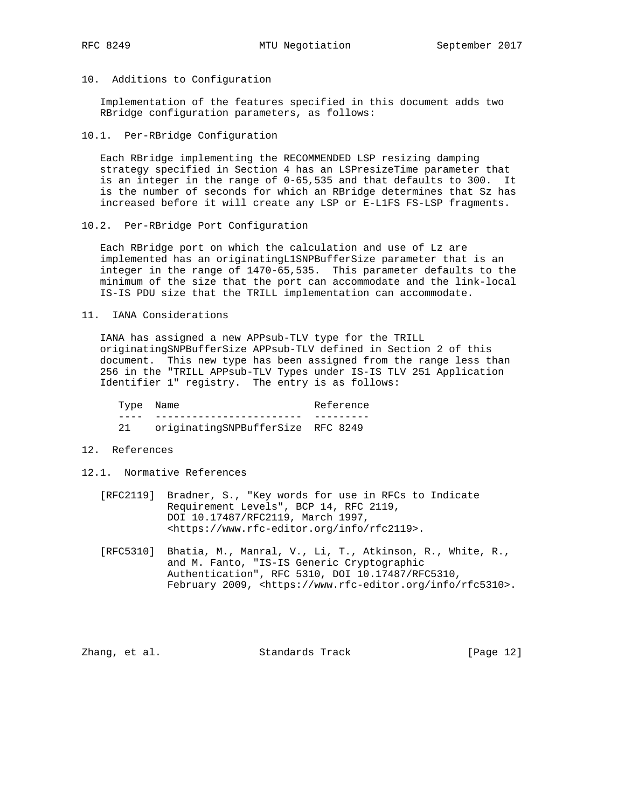10. Additions to Configuration

 Implementation of the features specified in this document adds two RBridge configuration parameters, as follows:

10.1. Per-RBridge Configuration

 Each RBridge implementing the RECOMMENDED LSP resizing damping strategy specified in Section 4 has an LSPresizeTime parameter that is an integer in the range of 0-65,535 and that defaults to 300. It is the number of seconds for which an RBridge determines that Sz has increased before it will create any LSP or E-L1FS FS-LSP fragments.

10.2. Per-RBridge Port Configuration

 Each RBridge port on which the calculation and use of Lz are implemented has an originatingL1SNPBufferSize parameter that is an integer in the range of 1470-65,535. This parameter defaults to the minimum of the size that the port can accommodate and the link-local IS-IS PDU size that the TRILL implementation can accommodate.

11. IANA Considerations

 IANA has assigned a new APPsub-TLV type for the TRILL originatingSNPBufferSize APPsub-TLV defined in Section 2 of this document. This new type has been assigned from the range less than 256 in the "TRILL APPsub-TLV Types under IS-IS TLV 251 Application Identifier 1" registry. The entry is as follows:

Type Name Reference ---- ------------------------ --------- 21 originatingSNPBufferSize RFC 8249

- 12. References
- 12.1. Normative References
	- [RFC2119] Bradner, S., "Key words for use in RFCs to Indicate Requirement Levels", BCP 14, RFC 2119, DOI 10.17487/RFC2119, March 1997, <https://www.rfc-editor.org/info/rfc2119>.
	- [RFC5310] Bhatia, M., Manral, V., Li, T., Atkinson, R., White, R., and M. Fanto, "IS-IS Generic Cryptographic Authentication", RFC 5310, DOI 10.17487/RFC5310, February 2009, <https://www.rfc-editor.org/info/rfc5310>.

Zhang, et al. Standards Track [Page 12]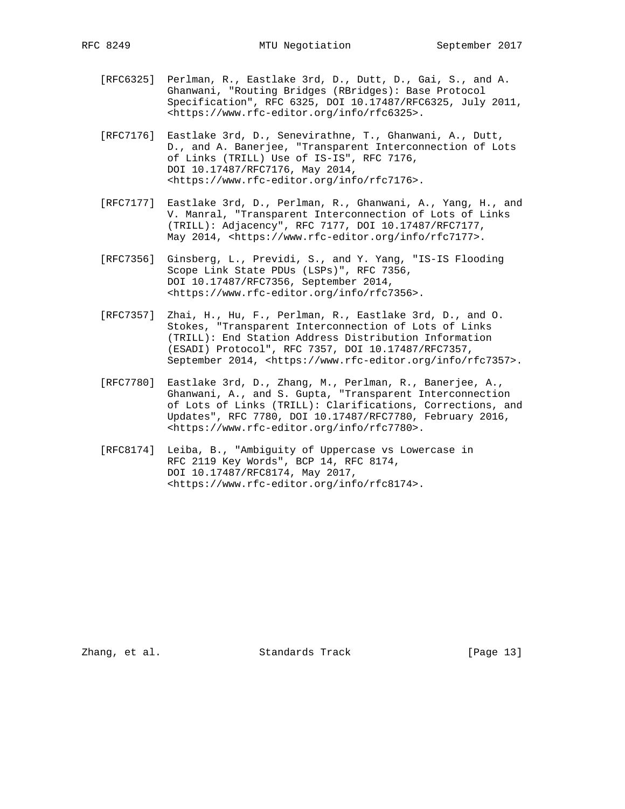- [RFC6325] Perlman, R., Eastlake 3rd, D., Dutt, D., Gai, S., and A. Ghanwani, "Routing Bridges (RBridges): Base Protocol Specification", RFC 6325, DOI 10.17487/RFC6325, July 2011, <https://www.rfc-editor.org/info/rfc6325>.
- [RFC7176] Eastlake 3rd, D., Senevirathne, T., Ghanwani, A., Dutt, D., and A. Banerjee, "Transparent Interconnection of Lots of Links (TRILL) Use of IS-IS", RFC 7176, DOI 10.17487/RFC7176, May 2014, <https://www.rfc-editor.org/info/rfc7176>.
- [RFC7177] Eastlake 3rd, D., Perlman, R., Ghanwani, A., Yang, H., and V. Manral, "Transparent Interconnection of Lots of Links (TRILL): Adjacency", RFC 7177, DOI 10.17487/RFC7177, May 2014, <https://www.rfc-editor.org/info/rfc7177>.
- [RFC7356] Ginsberg, L., Previdi, S., and Y. Yang, "IS-IS Flooding Scope Link State PDUs (LSPs)", RFC 7356, DOI 10.17487/RFC7356, September 2014, <https://www.rfc-editor.org/info/rfc7356>.
- [RFC7357] Zhai, H., Hu, F., Perlman, R., Eastlake 3rd, D., and O. Stokes, "Transparent Interconnection of Lots of Links (TRILL): End Station Address Distribution Information (ESADI) Protocol", RFC 7357, DOI 10.17487/RFC7357, September 2014, <https://www.rfc-editor.org/info/rfc7357>.
- [RFC7780] Eastlake 3rd, D., Zhang, M., Perlman, R., Banerjee, A., Ghanwani, A., and S. Gupta, "Transparent Interconnection of Lots of Links (TRILL): Clarifications, Corrections, and Updates", RFC 7780, DOI 10.17487/RFC7780, February 2016, <https://www.rfc-editor.org/info/rfc7780>.
- [RFC8174] Leiba, B., "Ambiguity of Uppercase vs Lowercase in RFC 2119 Key Words", BCP 14, RFC 8174, DOI 10.17487/RFC8174, May 2017, <https://www.rfc-editor.org/info/rfc8174>.

Zhang, et al. Standards Track [Page 13]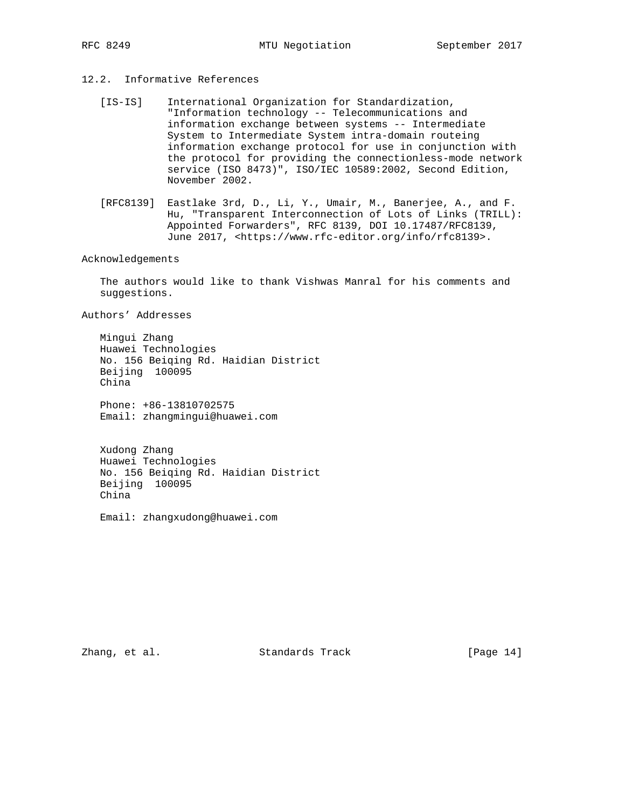# 12.2. Informative References

- [IS-IS] International Organization for Standardization, "Information technology -- Telecommunications and information exchange between systems -- Intermediate System to Intermediate System intra-domain routeing information exchange protocol for use in conjunction with the protocol for providing the connectionless-mode network service (ISO 8473)", ISO/IEC 10589:2002, Second Edition, November 2002.
- [RFC8139] Eastlake 3rd, D., Li, Y., Umair, M., Banerjee, A., and F. Hu, "Transparent Interconnection of Lots of Links (TRILL): Appointed Forwarders", RFC 8139, DOI 10.17487/RFC8139, June 2017, <https://www.rfc-editor.org/info/rfc8139>.

### Acknowledgements

 The authors would like to thank Vishwas Manral for his comments and suggestions.

Authors' Addresses

 Mingui Zhang Huawei Technologies No. 156 Beiqing Rd. Haidian District Beijing 100095 China

 Phone: +86-13810702575 Email: zhangmingui@huawei.com

 Xudong Zhang Huawei Technologies No. 156 Beiqing Rd. Haidian District Beijing 100095 China

Email: zhangxudong@huawei.com

Zhang, et al. Standards Track [Page 14]